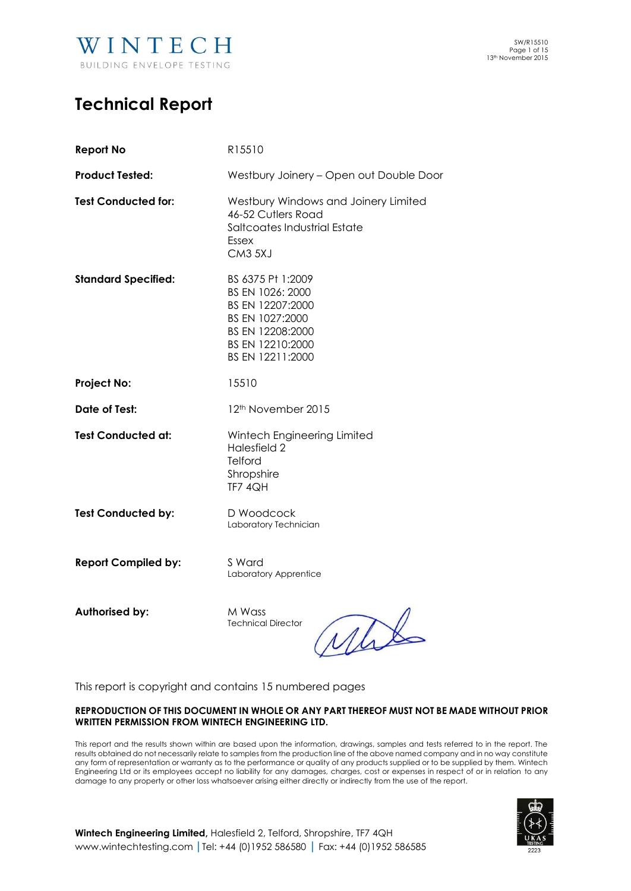

## **Technical Report**

| <b>Report No</b>           | R15510                                                                                                                                   |
|----------------------------|------------------------------------------------------------------------------------------------------------------------------------------|
| <b>Product Tested:</b>     | Westbury Joinery - Open out Double Door                                                                                                  |
| <b>Test Conducted for:</b> | Westbury Windows and Joinery Limited<br>46-52 Cutlers Road<br>Saltcoates Industrial Estate<br>Essex<br>CM3 5XJ                           |
| <b>Standard Specified:</b> | BS 6375 Pt 1:2009<br>BS EN 1026: 2000<br>BS EN 12207:2000<br>BS EN 1027:2000<br>BS EN 12208:2000<br>BS EN 12210:2000<br>BS EN 12211:2000 |
| <b>Project No:</b>         | 15510                                                                                                                                    |
| Date of Test:              | 12 <sup>th</sup> November 2015                                                                                                           |
| <b>Test Conducted at:</b>  | Wintech Engineering Limited<br>Halesfield 2<br><b>Telford</b><br>Shropshire<br><b>TF7 4QH</b>                                            |
| <b>Test Conducted by:</b>  | D Woodcock<br>Laboratory Technician                                                                                                      |
| <b>Report Compiled by:</b> | S Ward<br>Laboratory Apprentice                                                                                                          |

**Authorised by:** M Wass

Technical Director

Mit

This report is copyright and contains 15 numbered pages

#### **REPRODUCTION OF THIS DOCUMENT IN WHOLE OR ANY PART THEREOF MUST NOT BE MADE WITHOUT PRIOR WRITTEN PERMISSION FROM WINTECH ENGINEERING LTD.**

This report and the results shown within are based upon the information, drawings, samples and tests referred to in the report. The results obtained do not necessarily relate to samples from the production line of the above named company and in no way constitute any form of representation or warranty as to the performance or quality of any products supplied or to be supplied by them. Wintech Engineering Ltd or its employees accept no liability for any damages, charges, cost or expenses in respect of or in relation to any damage to any property or other loss whatsoever arising either directly or indirectly from the use of the report.



**Wintech Engineering Limited,** Halesfield 2, Telford, Shropshire, TF7 4QH [www.wintechtesting.com](http://www.wintechtesting.com/) **|**Tel: +44 (0)1952 586580 **|** Fax: +44 (0)1952 586585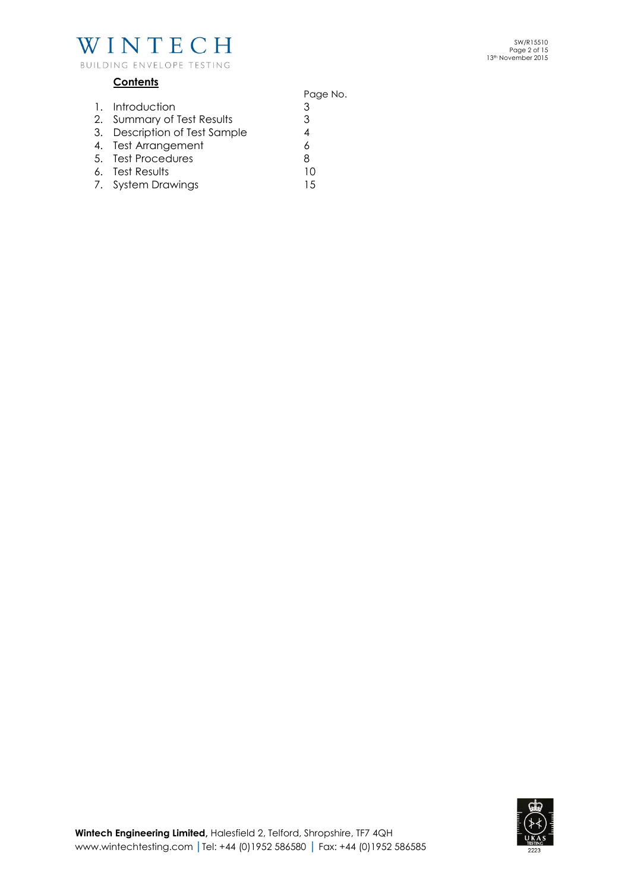

## **Contents**

- Page No. 1. Introduction 3 2. Summary of Test Results 3 3. Description of Test Sample<br>4. Test Arrangement 6 4. Test Arrangement 5. Test Procedures 6. Test Results 10
- 6. Test Results 10
- 7. System Drawings 15

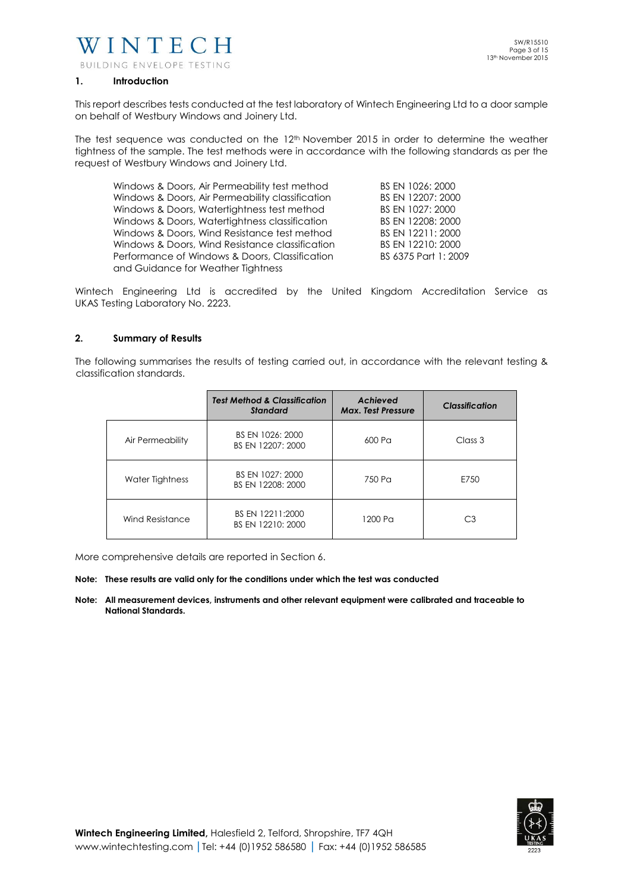

#### **1. Introduction**

This report describes tests conducted at the test laboratory of Wintech Engineering Ltd to a door sample on behalf of Westbury Windows and Joinery Ltd.

The test sequence was conducted on the 12<sup>th</sup> November 2015 in order to determine the weather tightness of the sample. The test methods were in accordance with the following standards as per the request of Westbury Windows and Joinery Ltd.

| Windows & Doors, Air Permeability test method    | BS EN 1026: 2000     |
|--------------------------------------------------|----------------------|
| Windows & Doors, Air Permeability classification | BS EN 12207: 2000    |
| Windows & Doors, Watertightness test method      | BS EN 1027: 2000     |
| Windows & Doors, Watertightness classification   | BS EN 12208: 2000    |
| Windows & Doors, Wind Resistance test method     | BS EN 12211: 2000    |
| Windows & Doors, Wind Resistance classification  | BS EN 12210: 2000    |
| Performance of Windows & Doors, Classification   | BS 6375 Part 1: 2009 |
| and Guidance for Weather Tightness               |                      |

Wintech Engineering Ltd is accredited by the United Kingdom Accreditation Service as UKAS Testing Laboratory No. 2223.

#### **2. Summary of Results**

The following summarises the results of testing carried out, in accordance with the relevant testing & classification standards.

|                  | <b>Test Method &amp; Classification</b><br><b>Standard</b> | Achieved<br><b>Max. Test Pressure</b> | <b>Classification</b> |
|------------------|------------------------------------------------------------|---------------------------------------|-----------------------|
| Air Permeability | BS EN 1026: 2000<br>BS EN 12207: 2000                      | 600 Pa                                | Class 3               |
| Water Tightness  | BS EN 1027: 2000<br>BS EN 12208: 2000                      | 750 Pa                                | E750                  |
| Wind Resistance  | BS EN 12211:2000<br>BS EN 12210: 2000                      | 1200 Pa                               | С3                    |

More comprehensive details are reported in Section 6.

#### **Note: These results are valid only for the conditions under which the test was conducted**

**Note: All measurement devices, instruments and other relevant equipment were calibrated and traceable to National Standards.** 

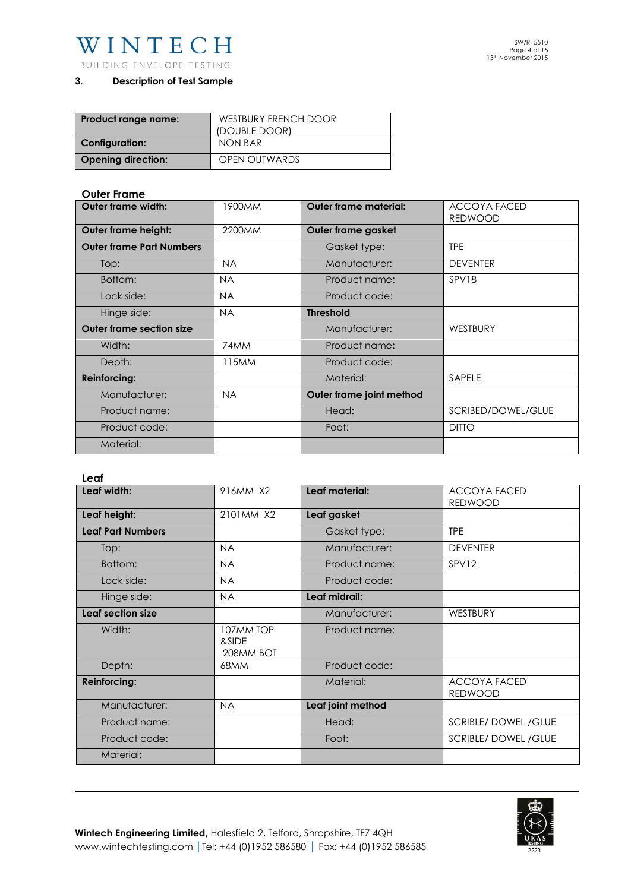

## **3**. **Description of Test Sample**

| Product range name:       | WESTBURY FRENCH DOOR |
|---------------------------|----------------------|
|                           | (DOUBLE DOOR)        |
| <b>Configuration:</b>     | NON BAR              |
| <b>Opening direction:</b> | <b>OPEN OUTWARDS</b> |

## **Outer Frame**

| Outer frame width:              | 1900MM    | <b>Outer frame material:</b> | <b>ACCOYA FACED</b> |  |
|---------------------------------|-----------|------------------------------|---------------------|--|
|                                 |           |                              | <b>REDWOOD</b>      |  |
| <b>Outer frame height:</b>      | 2200MM    | Outer frame gasket           |                     |  |
| <b>Outer frame Part Numbers</b> |           | Gasket type:                 | <b>TPE</b>          |  |
| Top:                            | <b>NA</b> | Manufacturer:                | <b>DEVENTER</b>     |  |
| Bottom:                         | <b>NA</b> | Product name:                | SPV18               |  |
| Lock side:                      | <b>NA</b> | Product code:                |                     |  |
| Hinge side:                     | <b>NA</b> | <b>Threshold</b>             |                     |  |
| <b>Outer frame section size</b> |           | Manufacturer:                | WESTBURY            |  |
| Width:                          | 74MM      | Product name:                |                     |  |
| Depth:                          | 115MM     | Product code:                |                     |  |
| <b>Reinforcing:</b>             |           | Material:                    | SAPELE              |  |
| Manufacturer:                   | <b>NA</b> | Outer frame joint method     |                     |  |
| Product name:                   |           | Head:                        | SCRIBED/DOWEL/GLUE  |  |
| Product code:                   |           | Foot:                        | <b>DITTO</b>        |  |
| Material:                       |           |                              |                     |  |

#### **Leaf**

| Leaf width:              | 916MM X2                        | Leaf material:    | ACCOYA FACED<br><b>REDWOOD</b>        |
|--------------------------|---------------------------------|-------------------|---------------------------------------|
| Leaf height:             | 2101MM X2                       | Leaf gasket       |                                       |
| <b>Leaf Part Numbers</b> |                                 | Gasket type:      | <b>TPE</b>                            |
| Top:                     | <b>NA</b>                       | Manufacturer:     | <b>DEVENTER</b>                       |
| Bottom:                  | <b>NA</b>                       | Product name:     | SPV12                                 |
| Lock side:               | <b>NA</b>                       | Product code:     |                                       |
| Hinge side:              | <b>NA</b>                       | Leaf midrail:     |                                       |
| Leaf section size        |                                 | Manufacturer:     | WESTBURY                              |
| Width:                   | 107MM TOP<br>&SIDE<br>208MM BOT | Product name:     |                                       |
| Depth:                   | 68MM                            | Product code:     |                                       |
| <b>Reinforcing:</b>      |                                 | Material:         | <b>ACCOYA FACED</b><br><b>REDWOOD</b> |
| Manufacturer:            | <b>NA</b>                       | Leaf joint method |                                       |
| Product name:            |                                 | Head:             | <b>SCRIBLE/DOWEL/GLUE</b>             |
| Product code:            |                                 | Foot:             | <b>SCRIBLE/DOWEL/GLUE</b>             |
| Material:                |                                 |                   |                                       |

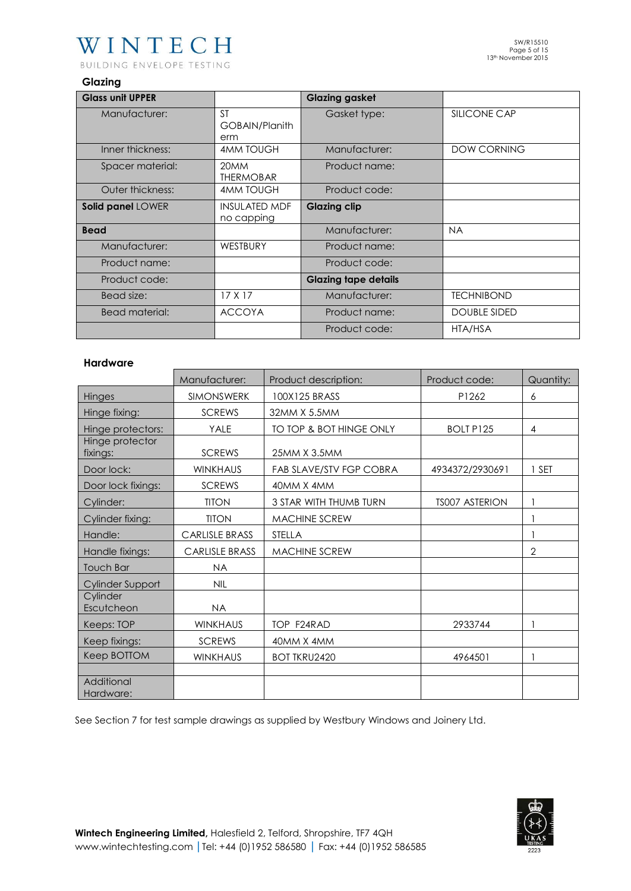# WINTECH

BUILDING ENVELOPE TESTING

## **Glazing**

| <b>Glass unit UPPER</b> |                                    | <b>Glazing gasket</b>       |                     |
|-------------------------|------------------------------------|-----------------------------|---------------------|
| Manufacturer:           | <b>ST</b><br>GOBAIN/Planith<br>erm | Gasket type:                | SILICONE CAP        |
| Inner thickness:        | <b>4MM TOUGH</b>                   | Manufacturer:               | <b>DOW CORNING</b>  |
| Spacer material:        | 20MM<br><b>THERMOBAR</b>           | Product name:               |                     |
| Outer thickness:        | <b>4MM TOUGH</b>                   | Product code:               |                     |
| Solid panel LOWER       | <b>INSULATED MDF</b><br>no capping | <b>Glazing clip</b>         |                     |
| <b>Bead</b>             |                                    | Manufacturer:               | <b>NA</b>           |
| Manufacturer:           | WESTBURY                           | Product name:               |                     |
| Product name:           |                                    | Product code:               |                     |
| Product code:           |                                    | <b>Glazing tape details</b> |                     |
| Bead size:              | 17X17                              | Manufacturer:               | <b>TECHNIBOND</b>   |
| <b>Bead material:</b>   | <b>ACCOYA</b>                      | Product name:               | <b>DOUBLE SIDED</b> |
|                         |                                    | Product code:               | HTA/HSA             |

## **Hardware**

|                             | Manufacturer:         | Product description:    | Product code:         | Quantity:      |
|-----------------------------|-----------------------|-------------------------|-----------------------|----------------|
| Hinges                      | <b>SIMONSWERK</b>     | 100X125 BRASS           | P1262                 | 6              |
| Hinge fixing:               | <b>SCREWS</b>         | 32MM X 5.5MM            |                       |                |
| Hinge protectors:           | YALE                  | TO TOP & BOT HINGE ONLY | <b>BOLT P125</b>      | $\overline{4}$ |
| Hinge protector<br>fixings: | <b>SCREWS</b>         | 25MM X 3.5MM            |                       |                |
| Door lock:                  | <b>WINKHAUS</b>       | FAB SLAVE/STV FGP COBRA | 4934372/2930691       | <b>SET</b>     |
| Door lock fixings:          | <b>SCREWS</b>         | 40MM X 4MM              |                       |                |
| Cylinder:                   | <b>TITON</b>          | 3 STAR WITH THUMB TURN  | <b>TS007 ASTERION</b> |                |
| Cylinder fixing:            | <b>TITON</b>          | <b>MACHINE SCREW</b>    |                       |                |
| Handle:                     | <b>CARLISLE BRASS</b> | <b>STELLA</b>           |                       |                |
| Handle fixings:             | <b>CARLISLE BRASS</b> | <b>MACHINE SCREW</b>    |                       | $\mathbf{2}$   |
| <b>Touch Bar</b>            | <b>NA</b>             |                         |                       |                |
| Cylinder Support            | <b>NIL</b>            |                         |                       |                |
| Cylinder<br>Escutcheon      | <b>NA</b>             |                         |                       |                |
| Keeps: TOP                  | <b>WINKHAUS</b>       | TOP F24RAD              | 2933744               |                |
| Keep fixings:               | <b>SCREWS</b>         | 40MM X 4MM              |                       |                |
| Keep BOTTOM                 | <b>WINKHAUS</b>       | <b>BOT TKRU2420</b>     | 4964501               |                |
|                             |                       |                         |                       |                |
| Additional<br>Hardware:     |                       |                         |                       |                |

See Section 7 for test sample drawings as supplied by Westbury Windows and Joinery Ltd.

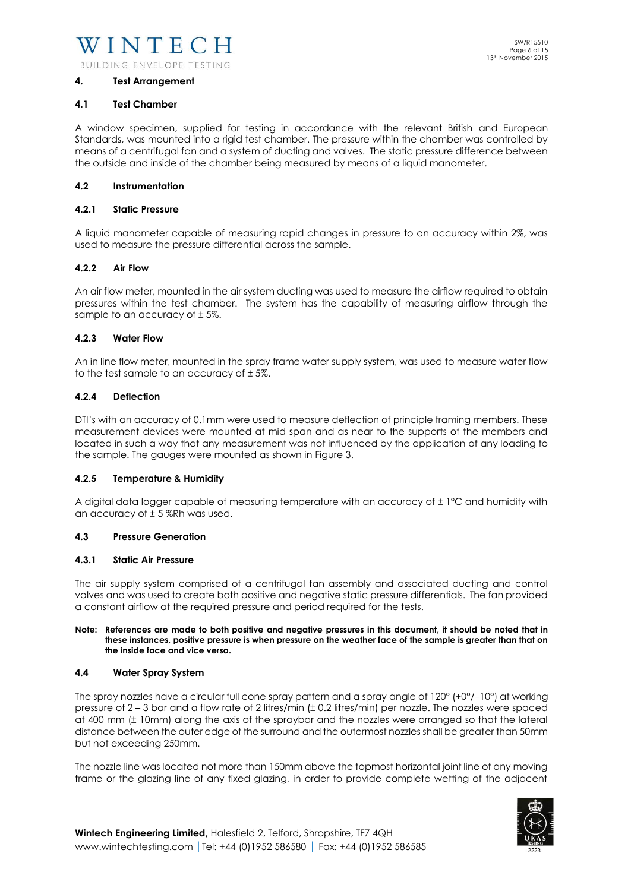#### **4. Test Arrangement**

#### **4.1 Test Chamber**

A window specimen, supplied for testing in accordance with the relevant British and European Standards, was mounted into a rigid test chamber. The pressure within the chamber was controlled by means of a centrifugal fan and a system of ducting and valves. The static pressure difference between the outside and inside of the chamber being measured by means of a liquid manometer.

#### **4.2 Instrumentation**

#### **4.2.1 Static Pressure**

A liquid manometer capable of measuring rapid changes in pressure to an accuracy within 2%, was used to measure the pressure differential across the sample.

#### **4.2.2 Air Flow**

An air flow meter, mounted in the air system ducting was used to measure the airflow required to obtain pressures within the test chamber. The system has the capability of measuring airflow through the sample to an accuracy of ± 5%.

#### **4.2.3 Water Flow**

An in line flow meter, mounted in the spray frame water supply system, was used to measure water flow to the test sample to an accuracy of  $\pm$  5%.

#### **4.2.4 Deflection**

DTI's with an accuracy of 0.1mm were used to measure deflection of principle framing members. These measurement devices were mounted at mid span and as near to the supports of the members and located in such a way that any measurement was not influenced by the application of any loading to the sample. The gauges were mounted as shown in Figure 3.

#### **4.2.5 Temperature & Humidity**

A digital data logger capable of measuring temperature with an accuracy of ± 1°C and humidity with an accuracy of  $\pm$  5 %Rh was used.

#### **4.3 Pressure Generation**

#### **4.3.1 Static Air Pressure**

The air supply system comprised of a centrifugal fan assembly and associated ducting and control valves and was used to create both positive and negative static pressure differentials. The fan provided a constant airflow at the required pressure and period required for the tests.

#### **Note: References are made to both positive and negative pressures in this document, it should be noted that in these instances, positive pressure is when pressure on the weather face of the sample is greater than that on the inside face and vice versa.**

#### **4.4 Water Spray System**

The spray nozzles have a circular full cone spray pattern and a spray angle of 120° (+0°/–10°) at working pressure of 2 – 3 bar and a flow rate of 2 litres/min (± 0.2 litres/min) per nozzle. The nozzles were spaced at 400 mm (± 10mm) along the axis of the spraybar and the nozzles were arranged so that the lateral distance between the outer edge of the surround and the outermost nozzles shall be greater than 50mm but not exceeding 250mm.

The nozzle line was located not more than 150mm above the topmost horizontal joint line of any moving frame or the glazing line of any fixed glazing, in order to provide complete wetting of the adjacent

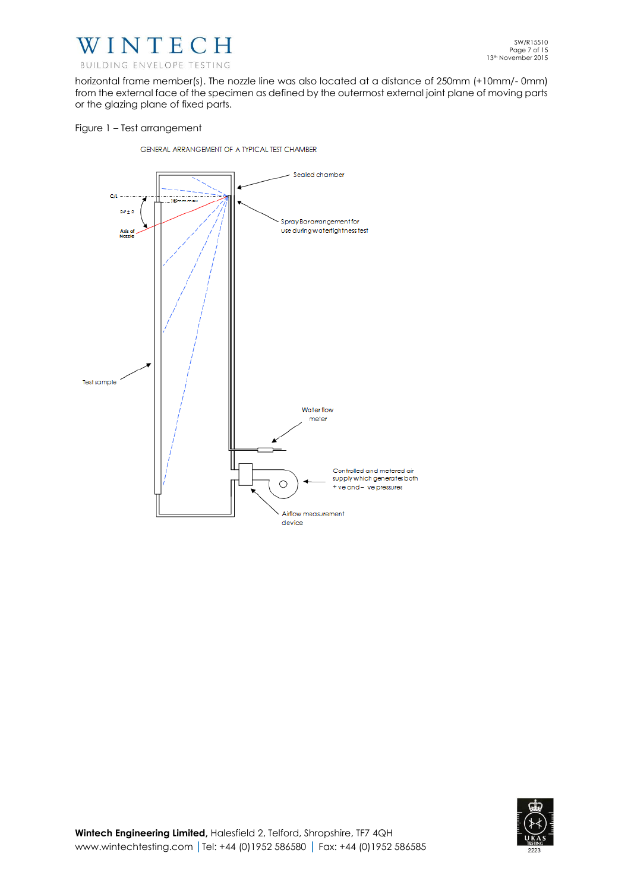

horizontal frame member(s). The nozzle line was also located at a distance of 250mm (+10mm/- 0mm) from the external face of the specimen as defined by the outermost external joint plane of moving parts or the glazing plane of fixed parts.

#### Figure 1 – Test arrangement

GENERAL ARRANGEMENT OF A TYPICAL TEST CHAMBER



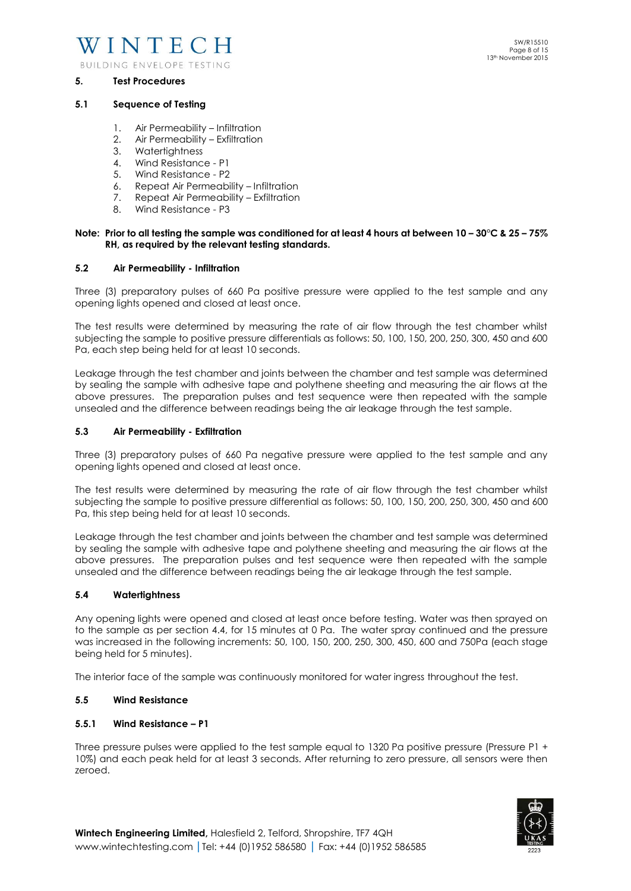

#### **5. Test Procedures**

#### **5.1 Sequence of Testing**

- 1. Air Permeability Infiltration
- 2. Air Permeability Exfiltration
- 3. Watertightness
- 4. Wind Resistance P1
- 5. Wind Resistance P2
- 6. Repeat Air Permeability Infiltration
- 7. Repeat Air Permeability Exfiltration
- 8. Wind Resistance P3

#### **Note: Prior to all testing the sample was conditioned for at least 4 hours at between 10 – 30°C & 25 – 75% RH, as required by the relevant testing standards.**

#### **5.2 Air Permeability - Infiltration**

Three (3) preparatory pulses of 660 Pa positive pressure were applied to the test sample and any opening lights opened and closed at least once.

The test results were determined by measuring the rate of air flow through the test chamber whilst subjecting the sample to positive pressure differentials as follows: 50, 100, 150, 200, 250, 300, 450 and 600 Pa, each step being held for at least 10 seconds.

Leakage through the test chamber and joints between the chamber and test sample was determined by sealing the sample with adhesive tape and polythene sheeting and measuring the air flows at the above pressures. The preparation pulses and test sequence were then repeated with the sample unsealed and the difference between readings being the air leakage through the test sample.

#### **5.3 Air Permeability - Exfiltration**

Three (3) preparatory pulses of 660 Pa negative pressure were applied to the test sample and any opening lights opened and closed at least once.

The test results were determined by measuring the rate of air flow through the test chamber whilst subjecting the sample to positive pressure differential as follows: 50, 100, 150, 200, 250, 300, 450 and 600 Pa, this step being held for at least 10 seconds.

Leakage through the test chamber and joints between the chamber and test sample was determined by sealing the sample with adhesive tape and polythene sheeting and measuring the air flows at the above pressures. The preparation pulses and test sequence were then repeated with the sample unsealed and the difference between readings being the air leakage through the test sample.

#### **5.4 Watertightness**

Any opening lights were opened and closed at least once before testing. Water was then sprayed on to the sample as per section 4.4, for 15 minutes at 0 Pa. The water spray continued and the pressure was increased in the following increments: 50, 100, 150, 200, 250, 300, 450, 600 and 750Pa (each stage being held for 5 minutes).

The interior face of the sample was continuously monitored for water ingress throughout the test.

#### **5.5 Wind Resistance**

#### **5.5.1 Wind Resistance – P1**

Three pressure pulses were applied to the test sample equal to 1320 Pa positive pressure (Pressure P1 + 10%) and each peak held for at least 3 seconds. After returning to zero pressure, all sensors were then zeroed.

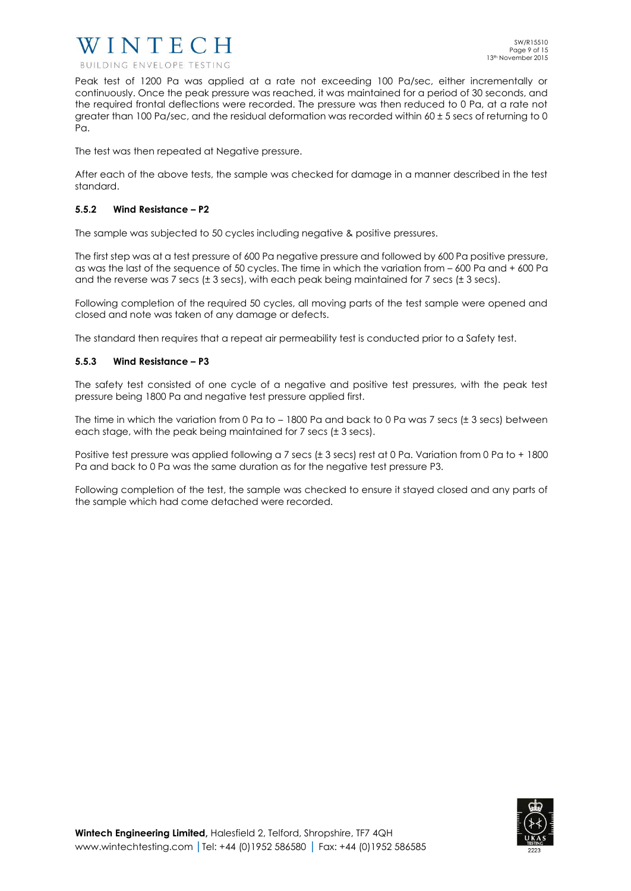

Peak test of 1200 Pa was applied at a rate not exceeding 100 Pa/sec, either incrementally or continuously. Once the peak pressure was reached, it was maintained for a period of 30 seconds, and the required frontal deflections were recorded. The pressure was then reduced to 0 Pa, at a rate not greater than 100 Pa/sec, and the residual deformation was recorded within  $60 \pm 5$  secs of returning to 0 Pa.

The test was then repeated at Negative pressure.

After each of the above tests, the sample was checked for damage in a manner described in the test standard.

#### **5.5.2 Wind Resistance – P2**

The sample was subjected to 50 cycles including negative & positive pressures.

The first step was at a test pressure of 600 Pa negative pressure and followed by 600 Pa positive pressure, as was the last of the sequence of 50 cycles. The time in which the variation from – 600 Pa and + 600 Pa and the reverse was 7 secs ( $\pm$  3 secs), with each peak being maintained for 7 secs ( $\pm$  3 secs).

Following completion of the required 50 cycles, all moving parts of the test sample were opened and closed and note was taken of any damage or defects.

The standard then requires that a repeat air permeability test is conducted prior to a Safety test.

#### **5.5.3 Wind Resistance – P3**

The safety test consisted of one cycle of a negative and positive test pressures, with the peak test pressure being 1800 Pa and negative test pressure applied first.

The time in which the variation from 0 Pa to  $-1800$  Pa and back to 0 Pa was 7 secs ( $\pm$  3 secs) between each stage, with the peak being maintained for 7 secs (± 3 secs).

Positive test pressure was applied following a 7 secs (± 3 secs) rest at 0 Pa. Variation from 0 Pa to + 1800 Pa and back to 0 Pa was the same duration as for the negative test pressure P3.

Following completion of the test, the sample was checked to ensure it stayed closed and any parts of the sample which had come detached were recorded.

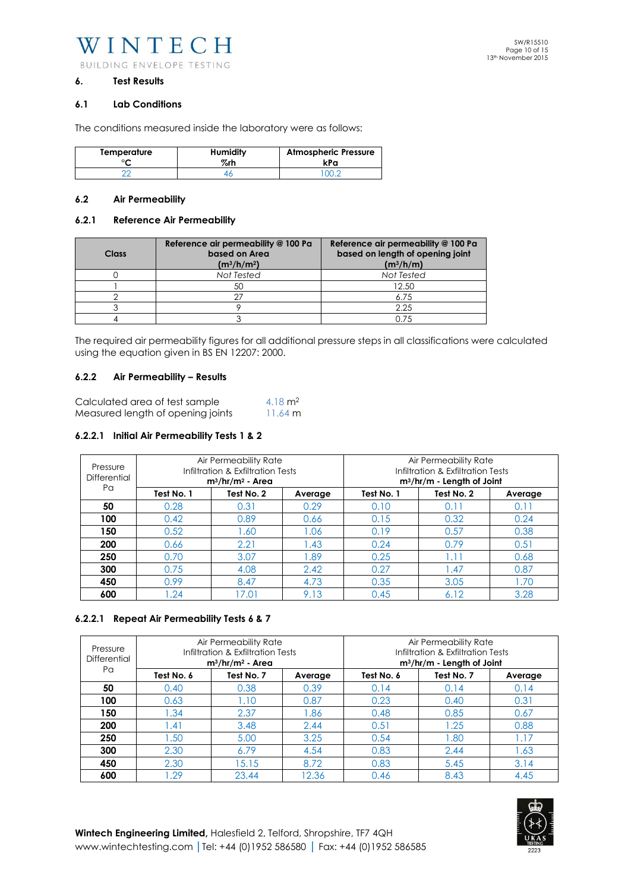WINTECH BUILDING ENVELOPE TESTING

#### **6. Test Results**

#### **6.1 Lab Conditions**

The conditions measured inside the laboratory were as follows:

| Temperature | <b>Humidity</b> | <b>Atmospheric Pressure</b> |
|-------------|-----------------|-----------------------------|
| ∘∼          | %rh             | kPa                         |
|             |                 |                             |

#### **6.2 Air Permeability**

#### **6.2.1 Reference Air Permeability**

| <b>Class</b> | Reference air permeability @ 100 Pa<br>based on Area<br>$(m^3/h/m^2)$ | Reference air permeability @ 100 Pa<br>based on length of opening joint<br>$(m^3/h/m)$ |
|--------------|-----------------------------------------------------------------------|----------------------------------------------------------------------------------------|
|              | Not Tested                                                            | Not Tested                                                                             |
|              | 50                                                                    | 12.50                                                                                  |
|              | ヘフ                                                                    | 6.75                                                                                   |
|              |                                                                       | 2.25                                                                                   |
|              |                                                                       | 0.75                                                                                   |

The required air permeability figures for all additional pressure steps in all classifications were calculated using the equation given in BS EN 12207: 2000.

#### **6.2.2 Air Permeability – Results**

| Calculated area of test sample    | 4.18 $m2$         |
|-----------------------------------|-------------------|
| Measured length of opening joints | $11.64 \text{ m}$ |

#### **6.2.2.1 Initial Air Permeability Tests 1 & 2**

| Pressure<br>Differential<br>Pα | Air Permeability Rate<br>Infiltration & Exfiltration Tests<br>$m^3/hr/m^2$ - Area |            | Air Permeability Rate<br>Infiltration & Exfiltration Tests<br>$m^3/hr/m$ - Length of Joint |            |            |         |
|--------------------------------|-----------------------------------------------------------------------------------|------------|--------------------------------------------------------------------------------------------|------------|------------|---------|
|                                | Test No. 1                                                                        | Test No. 2 | Average                                                                                    | Test No. 1 | Test No. 2 | Average |
| 50                             | 0.28                                                                              | 0.31       | 0.29                                                                                       | 0.10       | 0.11       | 0.11    |
| 100                            | 0.42                                                                              | 0.89       | 0.66                                                                                       | 0.15       | 0.32       | 0.24    |
| 150                            | 0.52                                                                              | 1.60       | 1.06                                                                                       | 0.19       | 0.57       | 0.38    |
| 200                            | 0.66                                                                              | 2.21       | .43                                                                                        | 0.24       | 0.79       | 0.51    |
| 250                            | 0.70                                                                              | 3.07       | .89                                                                                        | 0.25       | $\cdot$ 1  | 0.68    |
| 300                            | 0.75                                                                              | 4.08       | 2.42                                                                                       | 0.27       | .47        | 0.87    |
| 450                            | 0.99                                                                              | 8.47       | 4.73                                                                                       | 0.35       | 3.05       | .70     |
| 600                            | .24                                                                               | 17.01      | 9.13                                                                                       | 0.45       | 6.12       | 3.28    |

## **6.2.2.1 Repeat Air Permeability Tests 6 & 7**

| Pressure<br>Differential | Air Permeability Rate<br>Infiltration & Exfiltration Tests<br>$m^3/hr/m^2$ - Area |            |         | Air Permeability Rate<br>Infiltration & Exfiltration Tests<br>m <sup>3</sup> /hr/m - Length of Joint |            |         |
|--------------------------|-----------------------------------------------------------------------------------|------------|---------|------------------------------------------------------------------------------------------------------|------------|---------|
| Pa                       | Test No. 6                                                                        | Test No. 7 | Average | Test No. 6                                                                                           | Test No. 7 | Average |
| 50                       | 0.40                                                                              | 0.38       | 0.39    | 0.14                                                                                                 | 0.14       | 0.14    |
| 100                      | 0.63                                                                              | 1.10       | 0.87    | 0.23                                                                                                 | 0.40       | 0.31    |
| 150                      | .34                                                                               | 2.37       | 86.1    | 0.48                                                                                                 | 0.85       | 0.67    |
| 200                      | .41                                                                               | 3.48       | 2.44    | 0.51                                                                                                 | 1.25       | 0.88    |
| 250                      | 1.50                                                                              | 5.00       | 3.25    | 0.54                                                                                                 | .80        | 1.17    |
| 300                      | 2.30                                                                              | 6.79       | 4.54    | 0.83                                                                                                 | 2.44       | 1.63    |
| 450                      | 2.30                                                                              | 15.15      | 8.72    | 0.83                                                                                                 | 5.45       | 3.14    |
| 600                      | .29                                                                               | 23.44      | 12.36   | 0.46                                                                                                 | 8.43       | 4.45    |

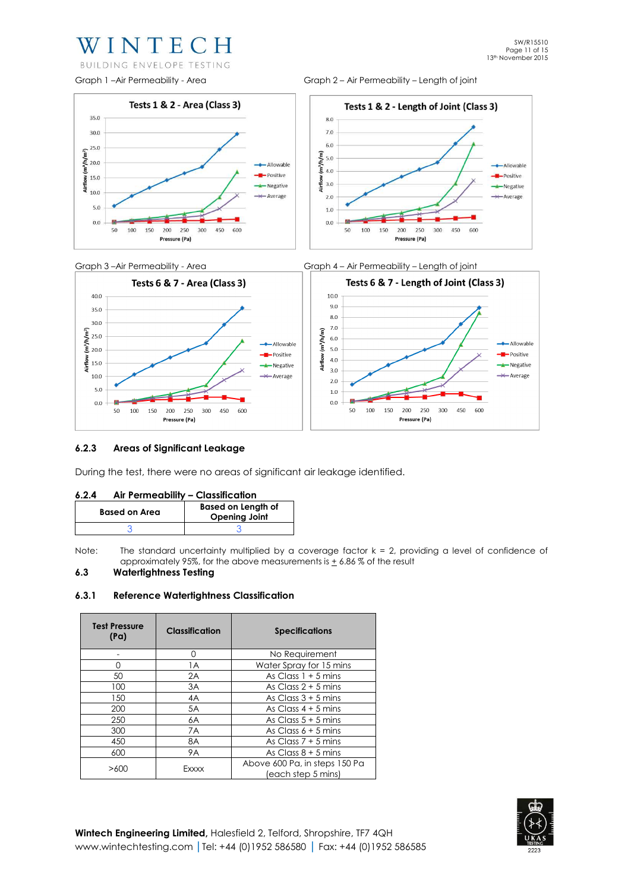## WINTECH

BUILDING ENVELOPE TESTING









#### **6.2.3 Areas of Significant Leakage**

During the test, there were no areas of significant air leakage identified.

| Air Permeability - Classification<br>6.2.4 |  |
|--------------------------------------------|--|
|--------------------------------------------|--|

| <b>Based on Area</b> | <b>Based on Length of</b><br><b>Opening Joint</b> |
|----------------------|---------------------------------------------------|
|                      |                                                   |

Note: The standard uncertainty multiplied by a coverage factor  $k = 2$ , providing a level of confidence of approximately 95%, for the above measurements is  $\pm$  6.86% of the result

## **6.3 Watertightness Testing**

#### **6.3.1 Reference Watertightness Classification**

| <b>Test Pressure</b><br>(Pa) | <b>Classification</b> | <b>Specifications</b>                               |  |
|------------------------------|-----------------------|-----------------------------------------------------|--|
|                              | 0                     | No Requirement                                      |  |
| O                            | 1A                    | Water Spray for 15 mins                             |  |
| 50                           | 2A                    | As Class $1 + 5$ mins                               |  |
| 100                          | 3A                    | As Class $2 + 5$ mins                               |  |
| 150                          | 4A                    | As Class $3 + 5$ mins                               |  |
| 200                          | 5A                    | As Class $4 + 5$ mins                               |  |
| 250                          | 6A                    | As Class $5 + 5$ mins                               |  |
| 300                          | 7A                    | As Class $6 + 5$ mins                               |  |
| 450                          | 8A                    | As Class $7 + 5$ mins                               |  |
| 600                          | <b>9A</b>             | As Class $8 + 5$ mins                               |  |
| >600                         | Exxxx                 | Above 600 Pa, in steps 150 Pa<br>(each step 5 mins) |  |

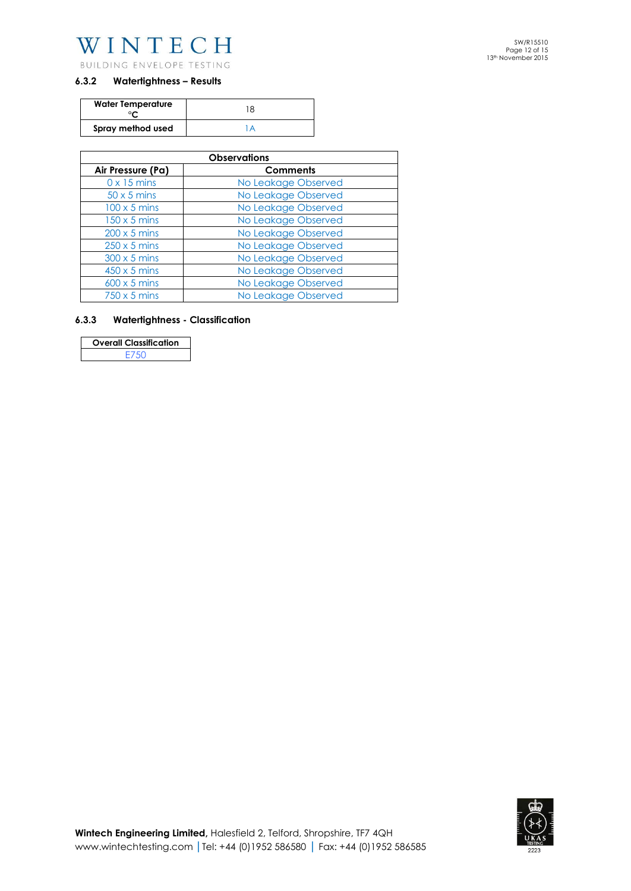

## **6.3.2 Watertightness – Results**

| <b>Water Temperature</b> | 8 |
|--------------------------|---|
| Spray method used        |   |

| <b>Observations</b> |                     |  |  |  |
|---------------------|---------------------|--|--|--|
| Air Pressure (Pa)   | <b>Comments</b>     |  |  |  |
| $0 \times 15$ mins  | No Leakage Observed |  |  |  |
| $50 \times 5$ mins  | No Leakage Observed |  |  |  |
| $100 \times 5$ mins | No Leakage Observed |  |  |  |
| $150 \times 5$ mins | No Leakage Observed |  |  |  |
| $200 \times 5$ mins | No Leakage Observed |  |  |  |
| $250 \times 5$ mins | No Leakage Observed |  |  |  |
| $300 \times 5$ mins | No Leakage Observed |  |  |  |
| $450 \times 5$ mins | No Leakage Observed |  |  |  |
| $600 \times 5$ mins | No Leakage Observed |  |  |  |
| $750 \times 5$ mins | No Leakage Observed |  |  |  |

## **6.3.3 Watertightness - Classification**

| <b>Overall Classification</b> |  |
|-------------------------------|--|
| F750                          |  |

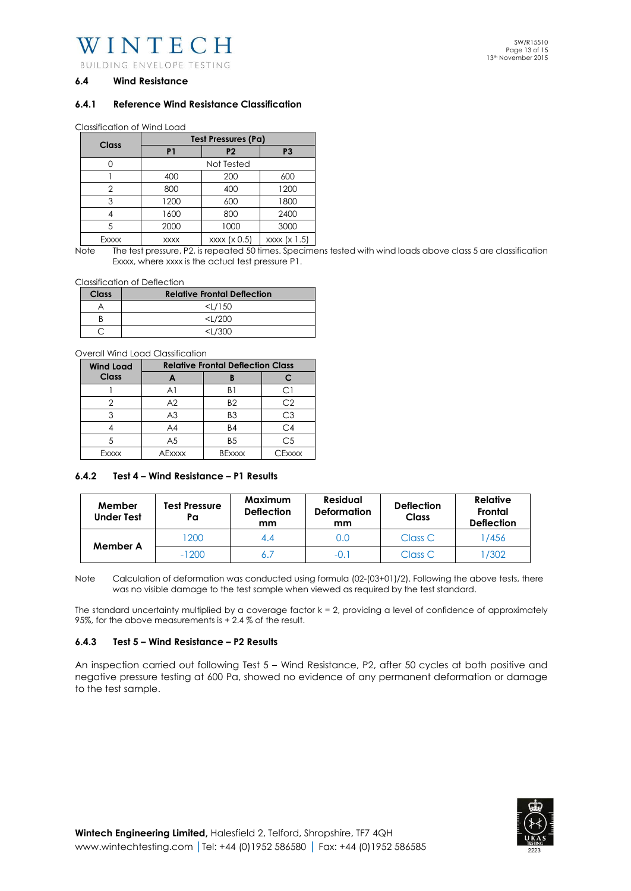WINTECH

BUILDING ENVELOPE TESTING

#### **6.4 Wind Resistance**

#### **6.4.1 Reference Wind Resistance Classification**

Classification of Wind Load

|       | Test Pressures (Pa) |                |                |  |  |
|-------|---------------------|----------------|----------------|--|--|
| Class | P <sub>1</sub>      | P <sub>2</sub> | P <sub>3</sub> |  |  |
|       |                     | Not Tested     |                |  |  |
|       | 400                 | 200            | 600            |  |  |
| 2     | 800                 | 400            | 1200           |  |  |
| 3     | 1200                | 600            | 1800           |  |  |
|       | 1600                | 800            | 2400           |  |  |
| 5     | 2000                | 1000           | 3000           |  |  |
| Fvvvv | <b>YYYY</b>         | xyxy(y05)      | xyxy(y 5)      |  |  |

Exxxx xxxx xxxx (x 0.5) xxxx (x 1.5) Note The test pressure, P2, is repeated 50 times. Specimens tested with wind loads above class 5 are classification

Classification of Deflection

| Class | <b>Relative Frontal Deflection</b> |
|-------|------------------------------------|
|       | $<$ L/150                          |
|       | $<$ L/200                          |
|       | $<$ $/300$                         |

Overall Wind Load Classification

| <b>Wind Load</b> | <b>Relative Frontal Deflection Class</b> |                |                |  |
|------------------|------------------------------------------|----------------|----------------|--|
| Class            |                                          |                |                |  |
|                  | A <sub>1</sub>                           | B۱             | . .            |  |
|                  | A <sub>2</sub>                           | B <sub>2</sub> | C2             |  |
|                  | A <sub>3</sub>                           | B <sub>3</sub> | С3             |  |
|                  | A4                                       | <b>B4</b>      | C4             |  |
|                  | A <sub>5</sub>                           | B <sub>5</sub> | C <sub>5</sub> |  |
| Fxxxx            | AFxxxx                                   | <b>BExxxx</b>  | $\Gamma$ Fxxxx |  |

#### **6.4.2 Test 4 – Wind Resistance – P1 Results**

| Member<br><b>Under Test</b> | Test Pressure<br>Pa | <b>Maximum</b><br><b>Deflection</b><br>mm | <b>Residual</b><br><b>Deformation</b><br>mm | <b>Deflection</b><br><b>Class</b> | <b>Relative</b><br>Frontal<br><b>Deflection</b> |
|-----------------------------|---------------------|-------------------------------------------|---------------------------------------------|-----------------------------------|-------------------------------------------------|
| Member A                    | 1200                |                                           | 0.C                                         | Class C                           | /456                                            |
|                             | $-1200$             |                                           | $-0.1$                                      | Class C                           | /302                                            |

Note Calculation of deformation was conducted using formula (02-(03+01)/2). Following the above tests, there was no visible damage to the test sample when viewed as required by the test standard.

The standard uncertainty multiplied by a coverage factor  $k = 2$ , providing a level of confidence of approximately 95%, for the above measurements is + 2.4 % of the result.

#### **6.4.3 Test 5 – Wind Resistance – P2 Results**

An inspection carried out following Test 5 – Wind Resistance, P2, after 50 cycles at both positive and negative pressure testing at 600 Pa, showed no evidence of any permanent deformation or damage to the test sample.



SW/R15510 Page 13 of 15 13th November 2015

Exxxx, where xxxx is the actual test pressure P1.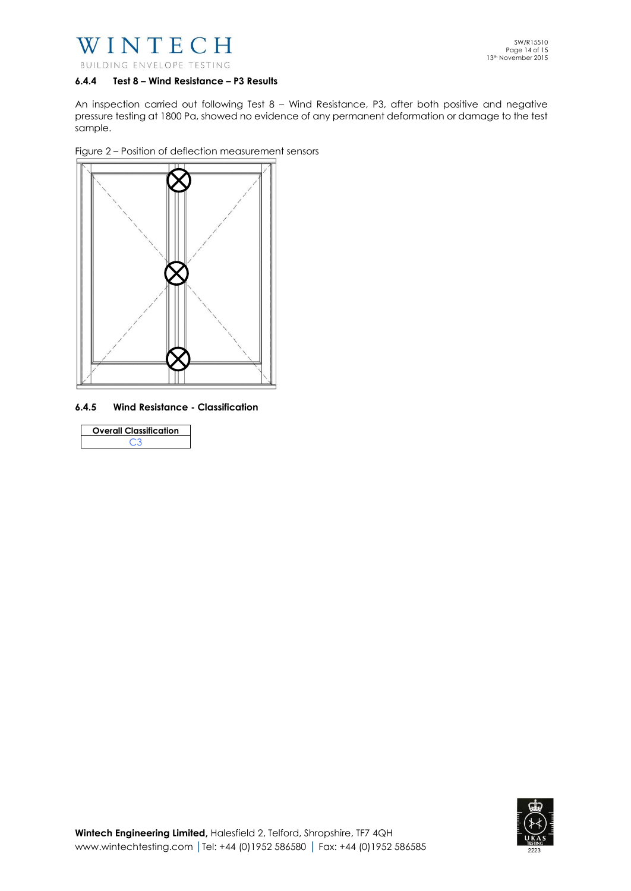

#### **6.4.4 Test 8 – Wind Resistance – P3 Results**

An inspection carried out following Test 8 – Wind Resistance, P3, after both positive and negative pressure testing at 1800 Pa, showed no evidence of any permanent deformation or damage to the test sample.

Figure 2 – Position of deflection measurement sensors



**6.4.5 Wind Resistance - Classification** 

| <b>Overall Classification</b> |  |
|-------------------------------|--|
| - 3                           |  |